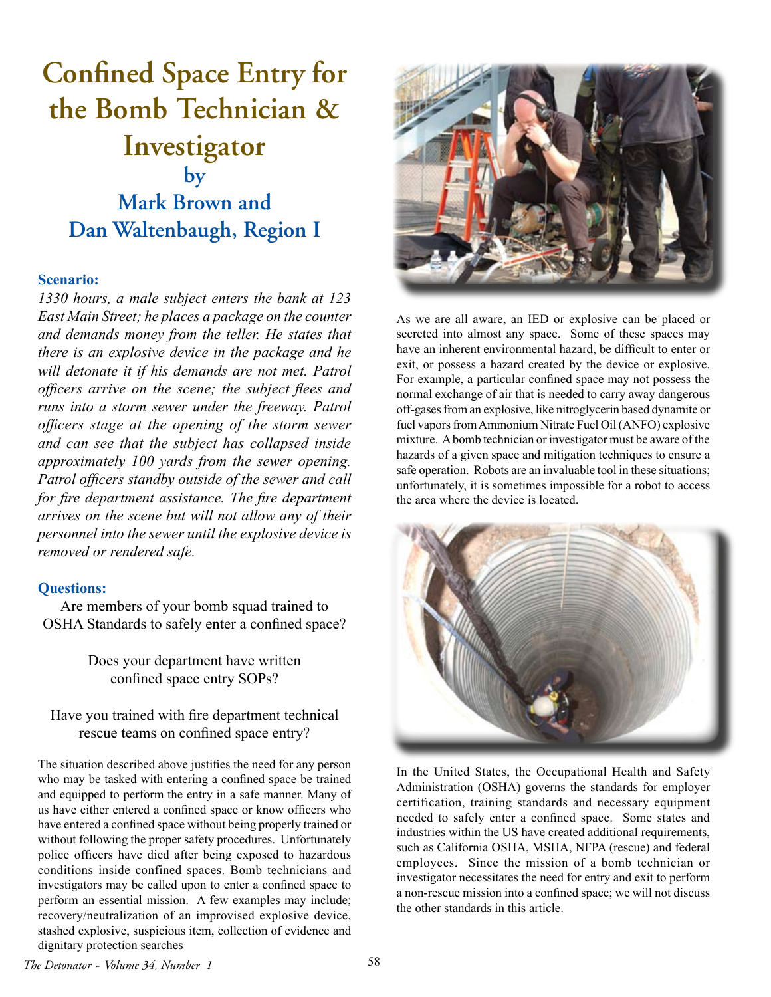## **Confined Space Entry for the Bomb Technician & Investigator by Mark Brown and Dan Waltenbaugh, Region I**

## **Scenario:**

*1330 hours, a male subject enters the bank at 123 East Main Street; he places a package on the counter and demands money from the teller. He states that there is an explosive device in the package and he will detonate it if his demands are not met. Patrol officers arrive on the scene; the subject flees and runs into a storm sewer under the freeway. Patrol officers stage at the opening of the storm sewer and can see that the subject has collapsed inside approximately 100 yards from the sewer opening. Patrol officers standby outside of the sewer and call for fire department assistance. The fire department arrives on the scene but will not allow any of their personnel into the sewer until the explosive device is removed or rendered safe.* 

## **Questions:**

Are members of your bomb squad trained to OSHA Standards to safely enter a confined space?

> Does your department have written confined space entry SOPs?

Have you trained with fire department technical rescue teams on confined space entry?

The situation described above justifies the need for any person who may be tasked with entering a confined space be trained and equipped to perform the entry in a safe manner. Many of us have either entered a confined space or know officers who have entered a confined space without being properly trained or without following the proper safety procedures. Unfortunately police officers have died after being exposed to hazardous conditions inside confined spaces. Bomb technicians and investigators may be called upon to enter a confined space to perform an essential mission. A few examples may include; recovery/neutralization of an improvised explosive device, stashed explosive, suspicious item, collection of evidence and dignitary protection searches



As we are all aware, an IED or explosive can be placed or secreted into almost any space. Some of these spaces may have an inherent environmental hazard, be difficult to enter or exit, or possess a hazard created by the device or explosive. For example, a particular confined space may not possess the normal exchange of air that is needed to carry away dangerous off-gases from an explosive, like nitroglycerin based dynamite or fuel vapors from Ammonium Nitrate Fuel Oil (ANFO) explosive mixture. A bomb technician or investigator must be aware of the hazards of a given space and mitigation techniques to ensure a safe operation. Robots are an invaluable tool in these situations; unfortunately, it is sometimes impossible for a robot to access the area where the device is located.



In the United States, the Occupational Health and Safety Administration (OSHA) governs the standards for employer certification, training standards and necessary equipment needed to safely enter a confined space. Some states and industries within the US have created additional requirements, such as California OSHA, MSHA, NFPA (rescue) and federal employees. Since the mission of a bomb technician or investigator necessitates the need for entry and exit to perform a non-rescue mission into a confined space; we will not discuss the other standards in this article.

*The Detonator ~ Volume 34, Number 1* 58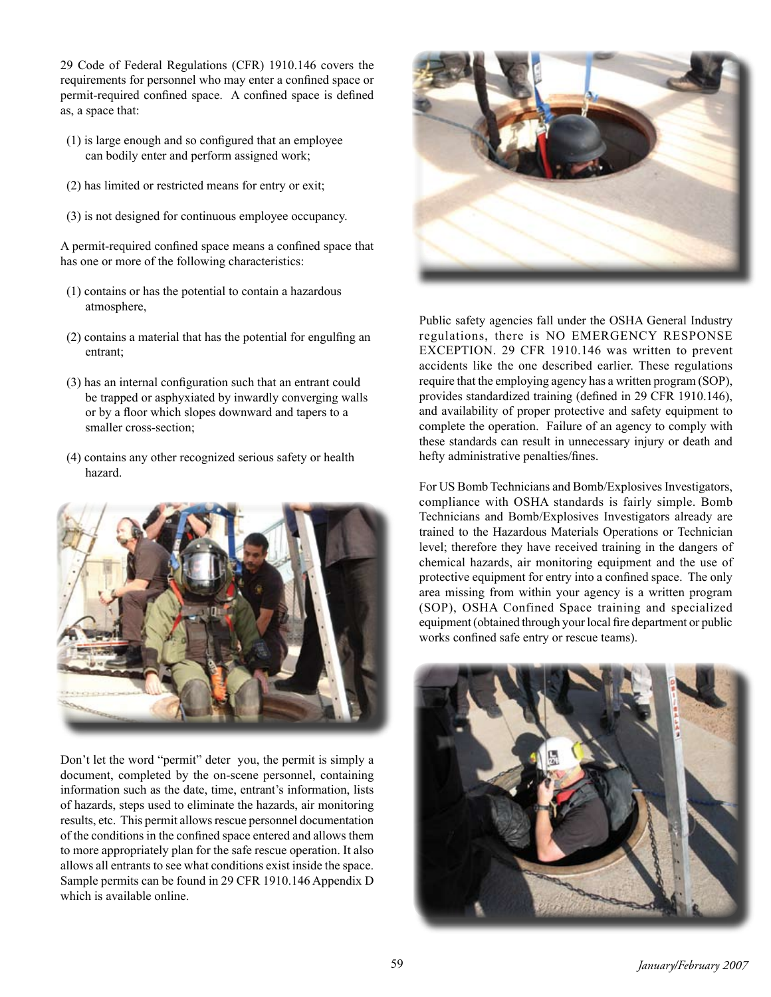29 Code of Federal Regulations (CFR) 1910.146 covers the requirements for personnel who may enter a confined space or permit-required confined space. A confined space is defined as, a space that:

- (1) is large enough and so configured that an employee can bodily enter and perform assigned work;
- (2) has limited or restricted means for entry or exit;
- (3) is not designed for continuous employee occupancy.

A permit-required confined space means a confined space that has one or more of the following characteristics:

- (1) contains or has the potential to contain a hazardous atmosphere,
- (2) contains a material that has the potential for engulfing an entrant;
- (3) has an internal configuration such that an entrant could be trapped or asphyxiated by inwardly converging walls or by a floor which slopes downward and tapers to a smaller cross-section;
- (4) contains any other recognized serious safety or health hazard.



Don't let the word "permit" deter you, the permit is simply a document, completed by the on-scene personnel, containing information such as the date, time, entrant's information, lists of hazards, steps used to eliminate the hazards, air monitoring results, etc. This permit allows rescue personnel documentation of the conditions in the confined space entered and allows them to more appropriately plan for the safe rescue operation. It also allows all entrants to see what conditions exist inside the space. Sample permits can be found in 29 CFR 1910.146 Appendix D which is available online.



Public safety agencies fall under the OSHA General Industry regulations, there is NO EMERGENCY RESPONSE EXCEPTION. 29 CFR 1910.146 was written to prevent accidents like the one described earlier. These regulations require that the employing agency has a written program (SOP), provides standardized training (defined in 29 CFR 1910.146), and availability of proper protective and safety equipment to complete the operation. Failure of an agency to comply with these standards can result in unnecessary injury or death and hefty administrative penalties/fines.

For US Bomb Technicians and Bomb/Explosives Investigators, compliance with OSHA standards is fairly simple. Bomb Technicians and Bomb/Explosives Investigators already are trained to the Hazardous Materials Operations or Technician level; therefore they have received training in the dangers of chemical hazards, air monitoring equipment and the use of protective equipment for entry into a confined space. The only area missing from within your agency is a written program (SOP), OSHA Confined Space training and specialized equipment (obtained through your local fire department or public works confined safe entry or rescue teams).